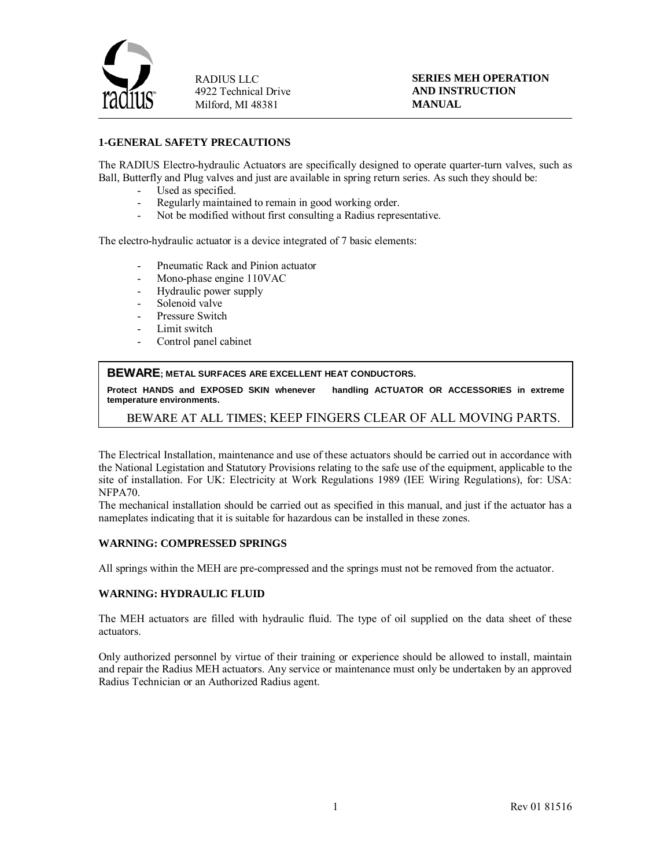

**SERIES MEH OPERATION AND INSTRUCTION MANUAL**

### **1-GENERAL SAFETY PRECAUTIONS**

The RADIUS Electro-hydraulic Actuators are specifically designed to operate quarter-turn valves, such as Ball, Butterfly and Plug valves and just are available in spring return series. As such they should be:

- Used as specified.
- Regularly maintained to remain in good working order.
- Not be modified without first consulting a Radius representative.

The electro-hydraulic actuator is a device integrated of 7 basic elements:

- Pneumatic Rack and Pinion actuator
- Mono-phase engine 110VAC
- Hydraulic power supply
- Solenoid valve
- Pressure Switch
- Limit switch
- Control panel cabinet

#### **BEWARE; METAL SURFACES ARE EXCELLENT HEAT CONDUCTORS.**

**Protect HANDS and EXPOSED SKIN whenever handling ACTUATOR OR ACCESSORIES in extreme temperature environments.**

# BEWARE AT ALL TIMES; KEEP FINGERS CLEAR OF ALL MOVING PARTS.

The Electrical Installation, maintenance and use of these actuators should be carried out in accordance with the National Legistation and Statutory Provisions relating to the safe use of the equipment, applicable to the site of installation. For UK: Electricity at Work Regulations 1989 (IEE Wiring Regulations), for: USA: NFPA70.

The mechanical installation should be carried out as specified in this manual, and just if the actuator has a nameplates indicating that it is suitable for hazardous can be installed in these zones.

#### **WARNING: COMPRESSED SPRINGS**

All springs within the MEH are pre-compressed and the springs must not be removed from the actuator.

#### **WARNING: HYDRAULIC FLUID**

The MEH actuators are filled with hydraulic fluid. The type of oil supplied on the data sheet of these actuators.

Only authorized personnel by virtue of their training or experience should be allowed to install, maintain and repair the Radius MEH actuators. Any service or maintenance must only be undertaken by an approved Radius Technician or an Authorized Radius agent.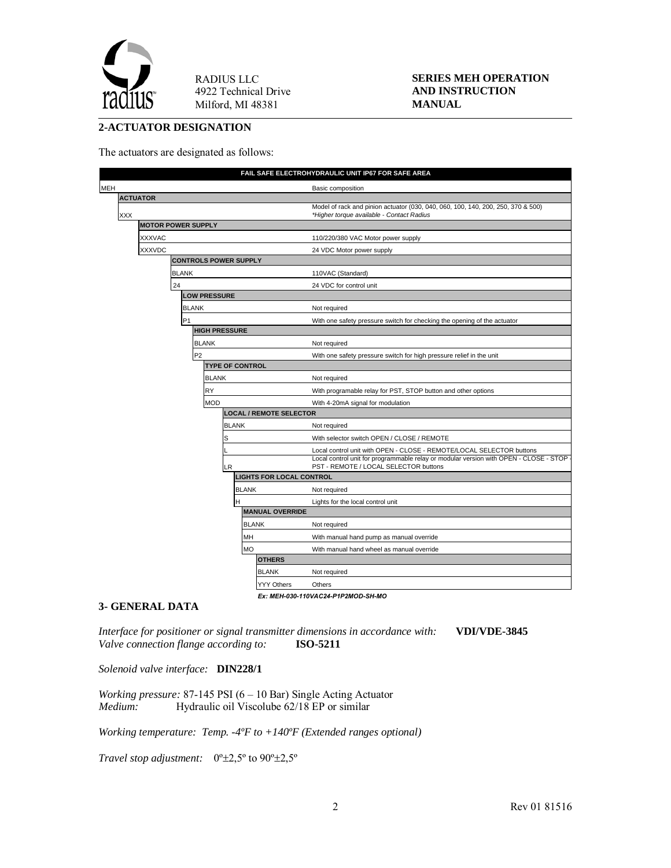

### **SERIES MEH OPERATION AND INSTRUCTION MANUAL**

# **2-ACTUATOR DESIGNATION**

The actuators are designated as follows:

|     |                 |                                 |              |              |                                   | FAIL SAFE ELECTROHYDRAULIC UNIT IP67 FOR SAFE AREA                                                                                                                                                       |  |
|-----|-----------------|---------------------------------|--------------|--------------|-----------------------------------|----------------------------------------------------------------------------------------------------------------------------------------------------------------------------------------------------------|--|
|     |                 |                                 |              |              |                                   | Basic composition                                                                                                                                                                                        |  |
|     | <b>ACTUATOR</b> |                                 |              |              |                                   |                                                                                                                                                                                                          |  |
| XXX |                 | <b>MOTOR POWER SUPPLY</b>       |              |              |                                   | Model of rack and pinion actuator (030, 040, 060, 100, 140, 200, 250, 370 & 500)<br>*Higher torque available - Contact Radius                                                                            |  |
|     |                 |                                 |              |              |                                   |                                                                                                                                                                                                          |  |
|     | <b>XXXVAC</b>   |                                 |              |              |                                   | 110/220/380 VAC Motor power supply                                                                                                                                                                       |  |
|     | XXXVDC          |                                 |              |              |                                   | 24 VDC Motor power supply                                                                                                                                                                                |  |
|     |                 | <b>CONTROLS POWER SUPPLY</b>    |              |              |                                   |                                                                                                                                                                                                          |  |
|     |                 | <b>BLANK</b>                    |              |              |                                   | 110VAC (Standard)                                                                                                                                                                                        |  |
|     |                 | 24                              |              |              |                                   | 24 VDC for control unit                                                                                                                                                                                  |  |
|     |                 | <b>LOW PRESSURE</b>             |              |              |                                   |                                                                                                                                                                                                          |  |
|     |                 | <b>BLANK</b>                    |              |              |                                   | Not required                                                                                                                                                                                             |  |
|     |                 | P <sub>1</sub>                  |              |              |                                   | With one safety pressure switch for checking the opening of the actuator                                                                                                                                 |  |
|     |                 | <b>HIGH PRESSURE</b>            |              |              |                                   |                                                                                                                                                                                                          |  |
|     |                 | <b>BLANK</b>                    |              |              | Not required                      |                                                                                                                                                                                                          |  |
|     |                 | P <sub>2</sub>                  |              |              |                                   | With one safety pressure switch for high pressure relief in the unit                                                                                                                                     |  |
|     |                 | <b>TYPE OF CONTROL</b>          |              |              |                                   |                                                                                                                                                                                                          |  |
|     |                 |                                 | <b>BLANK</b> |              |                                   | Not required                                                                                                                                                                                             |  |
|     |                 |                                 | RY           |              |                                   | With programable relay for PST, STOP button and other options                                                                                                                                            |  |
|     |                 | <b>MOD</b>                      |              |              | With 4-20mA signal for modulation |                                                                                                                                                                                                          |  |
|     |                 | <b>LOCAL / REMOTE SELECTOR</b>  |              |              |                                   |                                                                                                                                                                                                          |  |
|     |                 |                                 |              | <b>BLANK</b> |                                   | Not required                                                                                                                                                                                             |  |
|     |                 |                                 |              | S            |                                   | With selector switch OPEN / CLOSE / REMOTE                                                                                                                                                               |  |
|     |                 |                                 |              | LR           |                                   | Local control unit with OPEN - CLOSE - REMOTE/LOCAL SELECTOR buttons<br>Local control unit for programmable relay or modular version with OPEN - CLOSE - STOP -<br>PST - REMOTE / LOCAL SELECTOR buttons |  |
|     |                 | <b>LIGHTS FOR LOCAL CONTROL</b> |              |              |                                   |                                                                                                                                                                                                          |  |
|     |                 |                                 |              | <b>BLANK</b> |                                   | Not required                                                                                                                                                                                             |  |
|     |                 |                                 |              | н            |                                   | Lights for the local control unit                                                                                                                                                                        |  |
|     |                 | <b>MANUAL OVERRIDE</b>          |              |              |                                   |                                                                                                                                                                                                          |  |
|     |                 |                                 |              |              | <b>BLANK</b>                      | Not required                                                                                                                                                                                             |  |
|     |                 |                                 |              | MH           |                                   | With manual hand pump as manual override                                                                                                                                                                 |  |
|     |                 |                                 |              | <b>MO</b>    |                                   | With manual hand wheel as manual override                                                                                                                                                                |  |
|     |                 |                                 |              |              | <b>OTHERS</b>                     |                                                                                                                                                                                                          |  |
|     |                 |                                 |              |              | <b>BLANK</b>                      | Not required                                                                                                                                                                                             |  |
|     |                 |                                 |              |              | YYY Others                        | Others                                                                                                                                                                                                   |  |
|     |                 |                                 |              |              |                                   | Ex: MEH-030-110VAC24-P1P2MOD-SH-MO                                                                                                                                                                       |  |

### **3- GENERAL DATA**

*Interface for positioner or signal transmitter dimensions in accordance with:* **VDI/VDE-3845** *Valve connection flange according to:* **ISO-5211**

*Solenoid valve interface:* **DIN228/1**

*Working pressure:* 87-145 PSI (6 – 10 Bar) Single Acting Actuator *Medium:* Hydraulic oil Viscolube 62/18 EP or similar *Medium:* Hydraulic oil Viscolube 62/18 EP or similar

*Working temperature: Temp. -4ºF to +140ºF (Extended ranges optional)*

*Travel stop adjustment:* 0º±2,5º to 90º±2,5º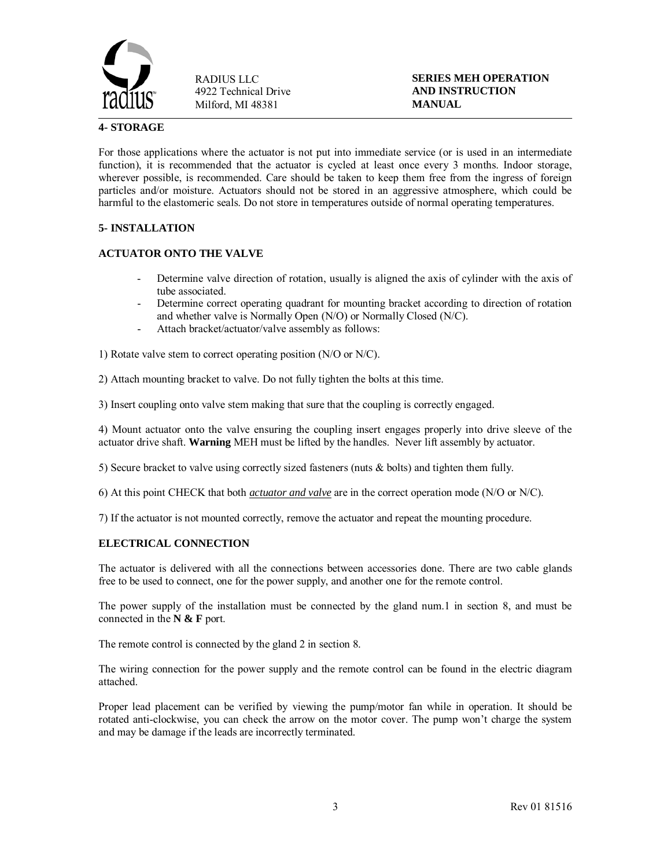

### **SERIES MEH OPERATION AND INSTRUCTION MANUAL**

# **4- STORAGE**

For those applications where the actuator is not put into immediate service (or is used in an intermediate function), it is recommended that the actuator is cycled at least once every 3 months. Indoor storage, wherever possible, is recommended. Care should be taken to keep them free from the ingress of foreign particles and/or moisture. Actuators should not be stored in an aggressive atmosphere, which could be harmful to the elastomeric seals. Do not store in temperatures outside of normal operating temperatures.

### **5- INSTALLATION**

# **ACTUATOR ONTO THE VALVE**

- Determine valve direction of rotation, usually is aligned the axis of cylinder with the axis of tube associated.
- Determine correct operating quadrant for mounting bracket according to direction of rotation and whether valve is Normally Open (N/O) or Normally Closed (N/C).
- Attach bracket/actuator/valve assembly as follows:

1) Rotate valve stem to correct operating position (N/O or N/C).

2) Attach mounting bracket to valve. Do not fully tighten the bolts at this time.

3) Insert coupling onto valve stem making that sure that the coupling is correctly engaged.

4) Mount actuator onto the valve ensuring the coupling insert engages properly into drive sleeve of the actuator drive shaft. **Warning** MEH must be lifted by the handles. Never lift assembly by actuator.

5) Secure bracket to valve using correctly sized fasteners (nuts & bolts) and tighten them fully.

6) At this point CHECK that both *actuator and valve* are in the correct operation mode (N/O or N/C).

7) If the actuator is not mounted correctly, remove the actuator and repeat the mounting procedure.

# **ELECTRICAL CONNECTION**

The actuator is delivered with all the connections between accessories done. There are two cable glands free to be used to connect, one for the power supply, and another one for the remote control.

The power supply of the installation must be connected by the gland num.1 in section 8, and must be connected in the **N & F** port.

The remote control is connected by the gland 2 in section 8.

The wiring connection for the power supply and the remote control can be found in the electric diagram attached.

Proper lead placement can be verified by viewing the pump/motor fan while in operation. It should be rotated anti-clockwise, you can check the arrow on the motor cover. The pump won't charge the system and may be damage if the leads are incorrectly terminated.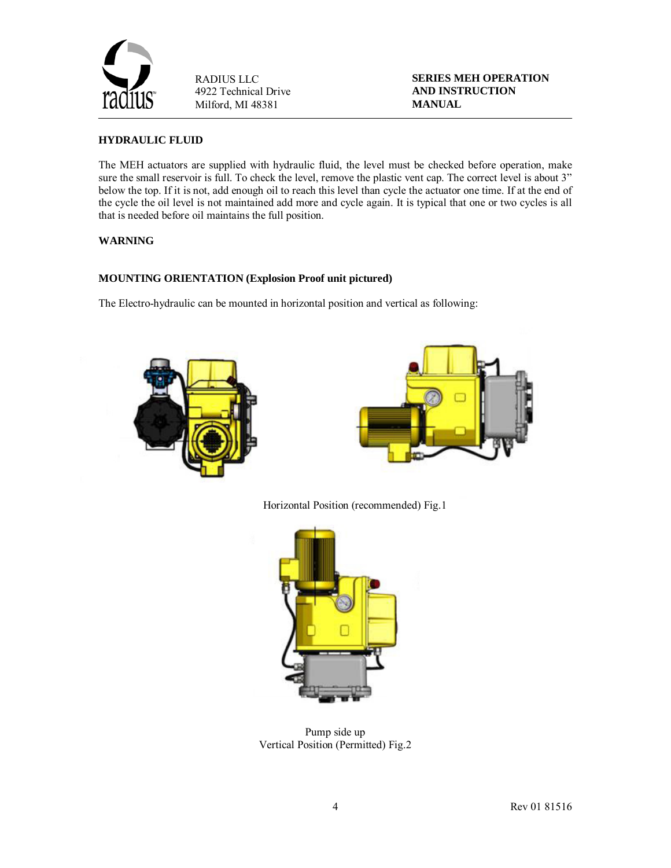

**SERIES MEH OPERATION AND INSTRUCTION MANUAL**

# **HYDRAULIC FLUID**

The MEH actuators are supplied with hydraulic fluid, the level must be checked before operation, make sure the small reservoir is full. To check the level, remove the plastic vent cap. The correct level is about 3" below the top. If it is not, add enough oil to reach this level than cycle the actuator one time. If at the end of the cycle the oil level is not maintained add more and cycle again. It is typical that one or two cycles is all that is needed before oil maintains the full position.

# **WARNING**

# **MOUNTING ORIENTATION (Explosion Proof unit pictured)**

The Electro-hydraulic can be mounted in horizontal position and vertical as following:





Horizontal Position (recommended) Fig.1



Pump side up Vertical Position (Permitted) Fig.2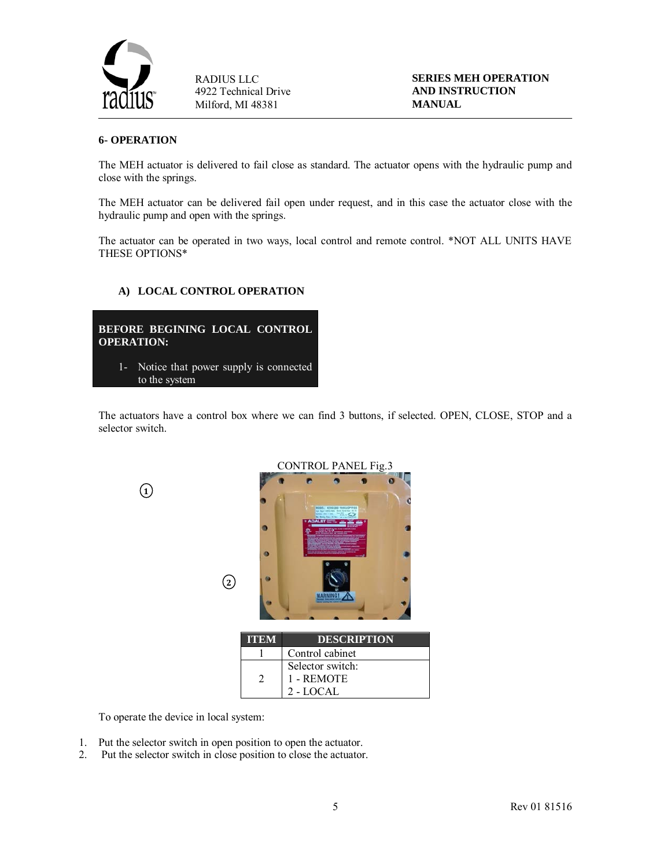

**SERIES MEH OPERATION AND INSTRUCTION MANUAL**

#### **6- OPERATION**

The MEH actuator is delivered to fail close as standard. The actuator opens with the hydraulic pump and close with the springs.

The MEH actuator can be delivered fail open under request, and in this case the actuator close with the hydraulic pump and open with the springs.

The actuator can be operated in two ways, local control and remote control. \*NOT ALL UNITS HAVE THESE OPTIONS\*

### **A) LOCAL CONTROL OPERATION**

**BEFORE BEGINING LOCAL CONTROL OPERATION:** 1- Notice that power supply is connected to the system

The actuators have a control box where we can find 3 buttons, if selected. OPEN, CLOSE, STOP and a selector switch.



To operate the device in local system:

- 1. Put the selector switch in open position to open the actuator.
- 2. Put the selector switch in close position to close the actuator.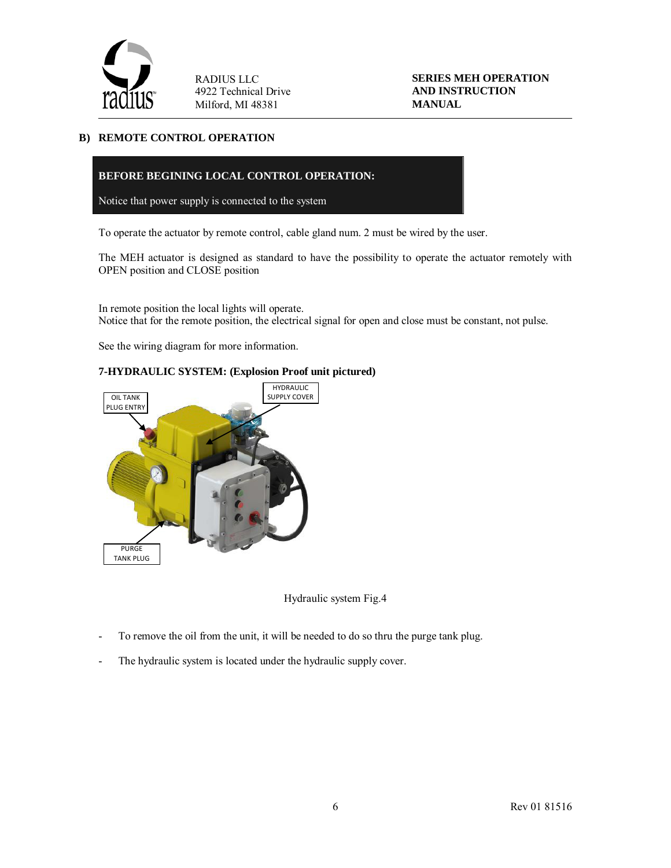

**SERIES MEH OPERATION AND INSTRUCTION MANUAL**

### **B) REMOTE CONTROL OPERATION**

### **BEFORE BEGINING LOCAL CONTROL OPERATION:**

Notice that power supply is connected to the system

To operate the actuator by remote control, cable gland num. 2 must be wired by the user.

The MEH actuator is designed as standard to have the possibility to operate the actuator remotely with OPEN position and CLOSE position

In remote position the local lights will operate. Notice that for the remote position, the electrical signal for open and close must be constant, not pulse.

See the wiring diagram for more information.

# **7-HYDRAULIC SYSTEM: (Explosion Proof unit pictured)**



Hydraulic system Fig.4

- To remove the oil from the unit, it will be needed to do so thru the purge tank plug.
- The hydraulic system is located under the hydraulic supply cover.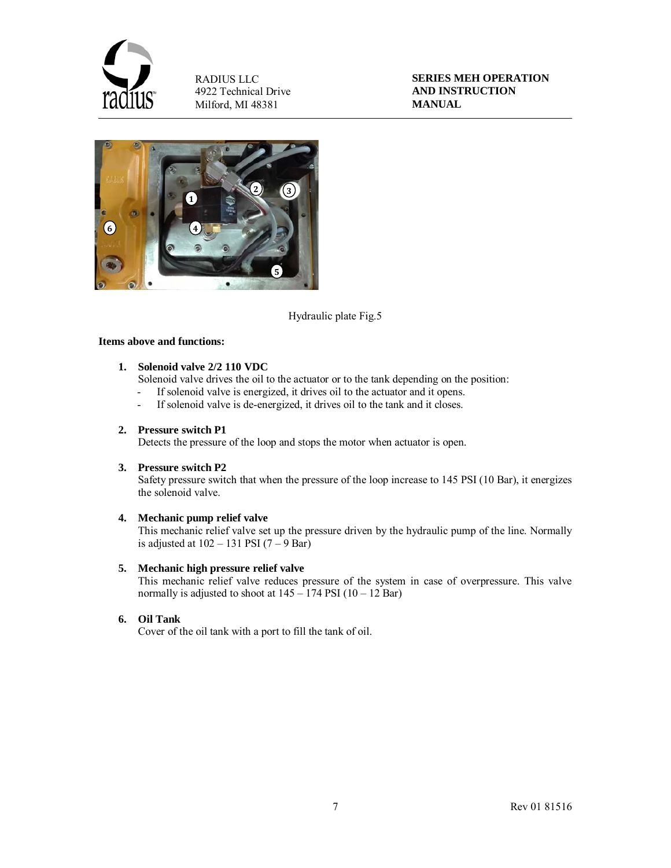

**SERIES MEH OPERATION AND INSTRUCTION MANUAL**



Hydraulic plate Fig.5

### **Items above and functions:**

### **1. Solenoid valve 2/2 110 VDC**

Solenoid valve drives the oil to the actuator or to the tank depending on the position:

- If solenoid valve is energized, it drives oil to the actuator and it opens.<br>- If solenoid valve is de-energized, it drives oil to the tank and it closes.
- If solenoid valve is de-energized, it drives oil to the tank and it closes.

# **2. Pressure switch P1**

Detects the pressure of the loop and stops the motor when actuator is open.

### **3. Pressure switch P2**

Safety pressure switch that when the pressure of the loop increase to 145 PSI (10 Bar), it energizes the solenoid valve.

#### **4. Mechanic pump relief valve**

This mechanic relief valve set up the pressure driven by the hydraulic pump of the line. Normally is adjusted at  $102 - 131$  PSI  $(7 - 9$  Bar)

#### **5. Mechanic high pressure relief valve**

This mechanic relief valve reduces pressure of the system in case of overpressure. This valve normally is adjusted to shoot at  $145 - 174$  PSI  $(10 - 12$  Bar)

# **6. Oil Tank**

Cover of the oil tank with a port to fill the tank of oil.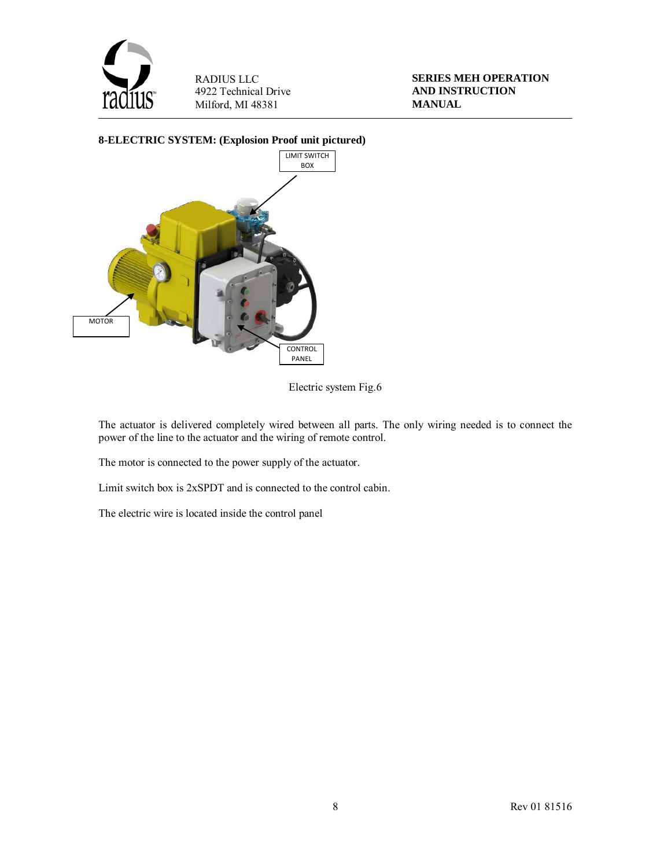

**SERIES MEH OPERATION AND INSTRUCTION MANUAL**



Electric system Fig.6

The actuator is delivered completely wired between all parts. The only wiring needed is to connect the power of the line to the actuator and the wiring of remote control.

The motor is connected to the power supply of the actuator.

Limit switch box is 2xSPDT and is connected to the control cabin.

The electric wire is located inside the control panel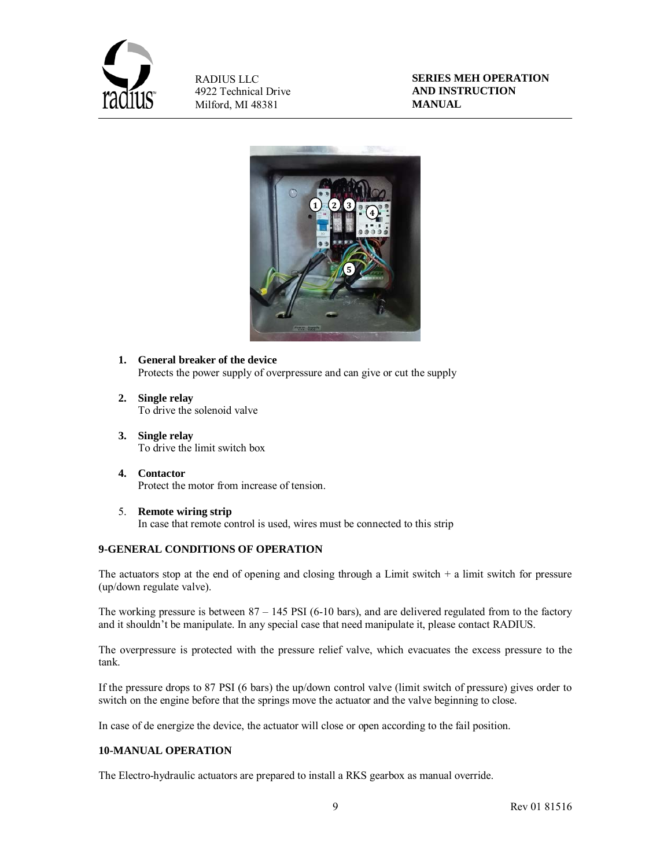

**SERIES MEH OPERATION AND INSTRUCTION MANUAL**



- **1. General breaker of the device** Protects the power supply of overpressure and can give or cut the supply
- **2. Single relay** To drive the solenoid valve
- **3. Single relay** To drive the limit switch box
- **4. Contactor**  Protect the motor from increase of tension.
- 5. **Remote wiring strip** In case that remote control is used, wires must be connected to this strip

# **9-GENERAL CONDITIONS OF OPERATION**

The actuators stop at the end of opening and closing through a Limit switch  $+$  a limit switch for pressure (up/down regulate valve).

The working pressure is between 87 – 145 PSI (6-10 bars), and are delivered regulated from to the factory and it shouldn't be manipulate. In any special case that need manipulate it, please contact RADIUS.

The overpressure is protected with the pressure relief valve, which evacuates the excess pressure to the tank.

If the pressure drops to 87 PSI (6 bars) the up/down control valve (limit switch of pressure) gives order to switch on the engine before that the springs move the actuator and the valve beginning to close.

In case of de energize the device, the actuator will close or open according to the fail position.

### **10-MANUAL OPERATION**

The Electro-hydraulic actuators are prepared to install a RKS gearbox as manual override.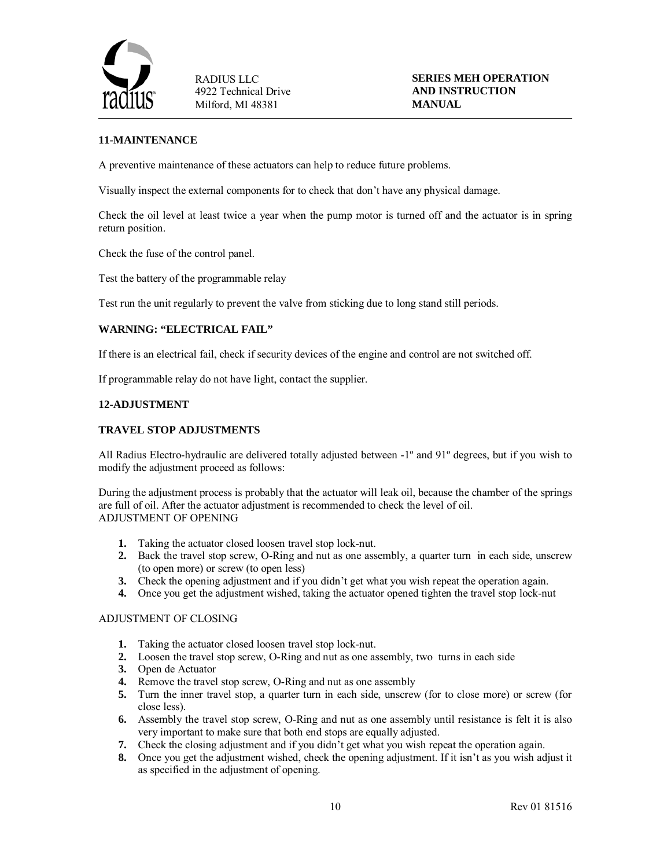

# **11-MAINTENANCE**

A preventive maintenance of these actuators can help to reduce future problems.

Visually inspect the external components for to check that don't have any physical damage.

Check the oil level at least twice a year when the pump motor is turned off and the actuator is in spring return position.

Check the fuse of the control panel.

Test the battery of the programmable relay

Test run the unit regularly to prevent the valve from sticking due to long stand still periods.

#### **WARNING: "ELECTRICAL FAIL"**

If there is an electrical fail, check if security devices of the engine and control are not switched off.

If programmable relay do not have light, contact the supplier.

#### **12-ADJUSTMENT**

#### **TRAVEL STOP ADJUSTMENTS**

All Radius Electro-hydraulic are delivered totally adjusted between -1º and 91º degrees, but if you wish to modify the adjustment proceed as follows:

During the adjustment process is probably that the actuator will leak oil, because the chamber of the springs are full of oil. After the actuator adjustment is recommended to check the level of oil. ADJUSTMENT OF OPENING

- **1.** Taking the actuator closed loosen travel stop lock-nut.
- **2.** Back the travel stop screw, O-Ring and nut as one assembly, a quarter turn in each side, unscrew (to open more) or screw (to open less)
- **3.** Check the opening adjustment and if you didn't get what you wish repeat the operation again.
- **4.** Once you get the adjustment wished, taking the actuator opened tighten the travel stop lock-nut

#### ADJUSTMENT OF CLOSING

- **1.** Taking the actuator closed loosen travel stop lock-nut.
- **2.** Loosen the travel stop screw, O-Ring and nut as one assembly, two turns in each side
- **3.** Open de Actuator
- **4.** Remove the travel stop screw, O-Ring and nut as one assembly
- **5.** Turn the inner travel stop, a quarter turn in each side, unscrew (for to close more) or screw (for close less).
- **6.** Assembly the travel stop screw, O-Ring and nut as one assembly until resistance is felt it is also very important to make sure that both end stops are equally adjusted.
- **7.** Check the closing adjustment and if you didn't get what you wish repeat the operation again.
- **8.** Once you get the adjustment wished, check the opening adjustment. If it isn't as you wish adjust it as specified in the adjustment of opening.